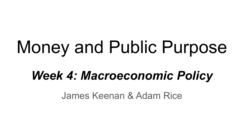# Money and Public Purpose

# *Week 4: Macroeconomic Policy*

James Keenan & Adam Rice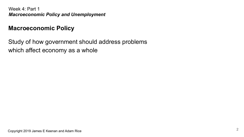# **Macroeconomic Policy**

Study of how government should address problems which affect economy as a whole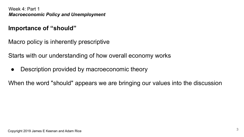# **Importance of "should"**

Macro policy is inherently prescriptive

Starts with our understanding of how overall economy works

• Description provided by macroeconomic theory

When the word "should" appears we are bringing our values into the discussion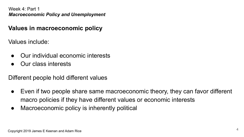# **Values in macroeconomic policy**

Values include:

- Our individual economic interests
- Our class interests

Different people hold different values

- Even if two people share same macroeconomic theory, they can favor different macro policies if they have different values or economic interests
- Macroeconomic policy is inherently political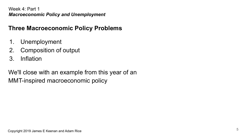# **Three Macroeconomic Policy Problems**

- 1. Unemployment
- 2. Composition of output
- 3. Inflation

We'll close with an example from this year of an MMT-inspired macroeconomic policy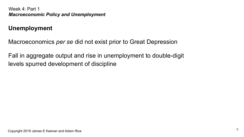## **Unemployment**

Macroeconomics *per se* did not exist prior to Great Depression

Fall in aggregate output and rise in unemployment to double-digit levels spurred development of discipline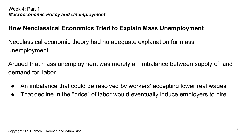# **How Neoclassical Economics Tried to Explain Mass Unemployment**

Neoclassical economic theory had no adequate explanation for mass unemployment

Argued that mass unemployment was merely an imbalance between supply of, and demand for, labor

- An imbalance that could be resolved by workers' accepting lower real wages
- That decline in the "price" of labor would eventually induce employers to hire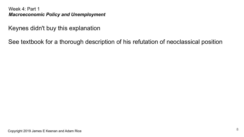Keynes didn't buy this explanation

See textbook for a thorough description of his refutation of neoclassical position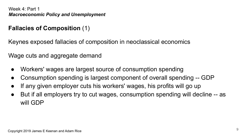# **Fallacies of Composition** (1)

Keynes exposed fallacies of composition in neoclassical economics

Wage cuts and aggregate demand

- Workers' wages are largest source of consumption spending
- Consumption spending is largest component of overall spending -- GDP
- If any given employer cuts his workers' wages, his profits will go up
- But if all employers try to cut wages, consumption spending will decline -- as will GDP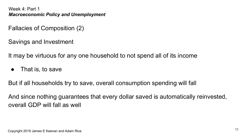Fallacies of Composition (2)

Savings and Investment

It may be virtuous for any one household to not spend all of its income

• That is, to save

But if all households try to save, overall consumption spending will fall

And since nothing guarantees that every dollar saved is automatically reinvested, overall GDP will fall as well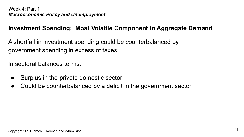# **Investment Spending: Most Volatile Component in Aggregate Demand**

A shortfall in investment spending could be counterbalanced by government spending in excess of taxes

In sectoral balances terms:

- Surplus in the private domestic sector
- Could be counterbalanced by a deficit in the government sector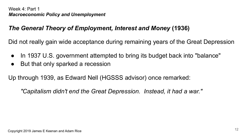# *The General Theory of Employment, Interest and Money* **(1936)**

Did not really gain wide acceptance during remaining years of the Great Depression

- In 1937 U.S. government attempted to bring its budget back into "balance"
- But that only sparked a recession

Up through 1939, as Edward Nell (HGSSS advisor) once remarked:

*"Capitalism didn't end the Great Depression. Instead, it had a war."*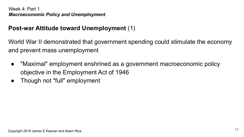# **Post-war Attitude toward Unemployment** (1)

World War II demonstrated that government spending could stimulate the economy and prevent mass unemployment

- "Maximal" employment enshrined as a government macroeconomic policy objective in the Employment Act of 1946
- Though not "full" employment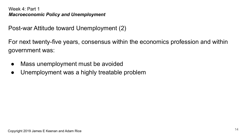Post-war Attitude toward Unemployment (2)

For next twenty-five years, consensus within the economics profession and within government was:

- Mass unemployment must be avoided
- Unemployment was a highly treatable problem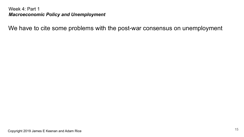We have to cite some problems with the post-war consensus on unemployment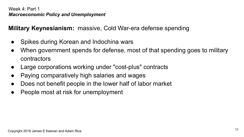**Military Keynesianism:** massive, Cold War-era defense spending

- Spikes during Korean and Indochina wars
- When government spends for defense, most of that spending goes to military contractors
- Large corporations working under "cost-plus" contracts
- Paying comparatively high salaries and wages
- Does not benefit people in the lower half of labor market
- People most at risk for unemployment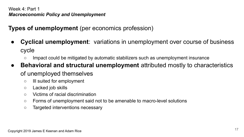**Types of unemployment** (per economics profession)

- **Cyclical unemployment**: variations in unemployment over course of business cycle
	- Impact could be mitigated by automatic stabilizers such as unemployment insurance
- **Behavioral and structural unemployment** attributed mostly to characteristics of unemployed themselves
	- Ill suited for employment
	- Lacked job skills
	- Victims of racial discrimination
	- Forms of unemployment said not to be amenable to macro-level solutions
	- Targeted interventions necessary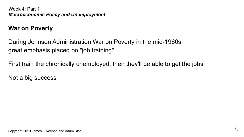# **War on Poverty**

During Johnson Administration War on Poverty in the mid-1960s, great emphasis placed on "job training"

First train the chronically unemployed, then they'll be able to get the jobs

Not a big success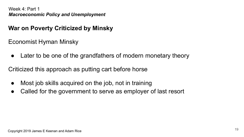# **War on Poverty Criticized by Minsky**

Economist Hyman Minsky

• Later to be one of the grandfathers of modern monetary theory

Criticized this approach as putting cart before horse

- Most job skills acquired on the job, not in training
- Called for the government to serve as employer of last resort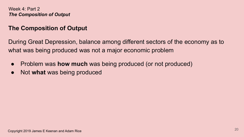# **The Composition of Output**

During Great Depression, balance among different sectors of the economy as to what was being produced was not a major economic problem

- Problem was **how much** was being produced (or not produced)
- Not **what** was being produced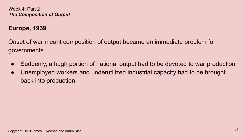## **Europe, 1939**

Onset of war meant composition of output became an immediate problem for governments

- Suddenly, a hugh portion of national output had to be devoted to war production
- Unemployed workers and underutilized industrial capacity had to be brought back into production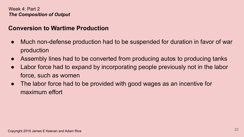# **Conversion to Wartime Production**

- Much non-defense production had to be suspended for duration in favor of war production
- Assembly lines had to be converted from producing autos to producing tanks
- Labor force had to expand by incorporating people previously not in the labor force, such as women
- The labor force had to be provided with good wages as an incentive for maximum effort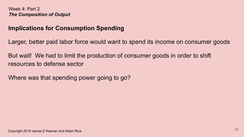## **Implications for Consumption Spending**

Larger, better paid labor force would want to spend its income on consumer goods

But wait! We had to limit the production of consumer goods in order to shift resources to defense sector

Where was that spending power going to go?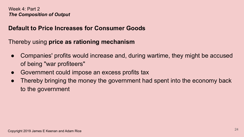## **Default to Price Increases for Consumer Goods**

Thereby using **price as rationing mechanism**

- Companies' profits would increase and, during wartime, they might be accused of being "war profiteers"
- Government could impose an excess profits tax
- Thereby bringing the money the government had spent into the economy back to the government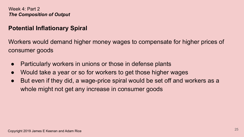## **Potential Inflationary Spiral**

Workers would demand higher money wages to compensate for higher prices of consumer goods

- Particularly workers in unions or those in defense plants
- Would take a year or so for workers to get those higher wages
- But even if they did, a wage-price spiral would be set off and workers as a whole might not get any increase in consumer goods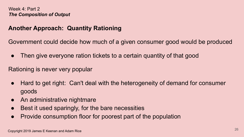# **Another Approach: Quantity Rationing**

Government could decide how much of a given consumer good would be produced

• Then give everyone ration tickets to a certain quantity of that good

Rationing is never very popular

- Hard to get right: Can't deal with the heterogeneity of demand for consumer goods
- An administrative nightmare
- Best it used sparingly, for the bare necessities
- Provide consumption floor for poorest part of the population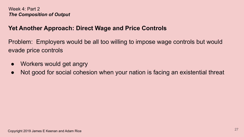# **Yet Another Approach: Direct Wage and Price Controls**

Problem: Employers would be all too willing to impose wage controls but would evade price controls

- Workers would get angry
- Not good for social cohesion when your nation is facing an existential threat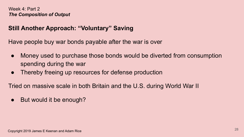# **Still Another Approach: "Voluntary" Saving**

Have people buy war bonds payable after the war is over

- Money used to purchase those bonds would be diverted from consumption spending during the war
- Thereby freeing up resources for defense production

Tried on massive scale in both Britain and the U.S. during World War II

• But would it be enough?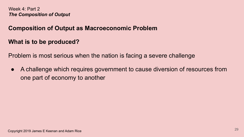#### **Composition of Output as Macroeconomic Problem**

#### **What is to be produced?**

Problem is most serious when the nation is facing a severe challenge

● A challenge which requires government to cause diversion of resources from one part of economy to another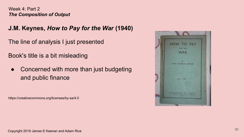**J.M. Keynes,** *How to Pay for the War* **(1940)**

The line of analysis I just presented

Book's title is a bit misleading

Concerned with more than just budgeting and public finance

https://creativecommons.org/licenses/by-sa/4.0

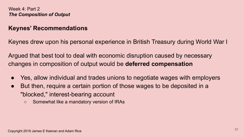#### **Keynes' Recommendations**

Keynes drew upon his personal experience in British Treasury during World War I

Argued that best tool to deal with economic disruption caused by necessary changes in composition of output would be **deferred compensation**

- Yes, allow individual and trades unions to negotiate wages with employers
- But then, require a certain portion of those wages to be deposited in a "blocked," interest-bearing account
	- Somewhat like a mandatory version of IRAs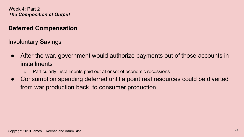# **Deferred Compensation**

Involuntary Savings

- After the war, government would authorize payments out of those accounts in installments
	- Particularly installments paid out at onset of economic recessions
- Consumption spending deferred until a point real resources could be diverted from war production back to consumer production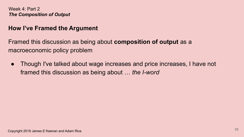#### **How I've Framed the Argument**

Framed this discussion as being about **composition of output** as a macroeconomic policy problem

● Though I've talked about wage increases and price increases, I have not framed this discussion as being about … *the I-word*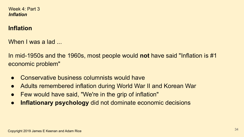Week 4: Part 3 *Inflation*

#### **Inflation**

When I was a lad

In mid-1950s and the 1960s, most people would **not** have said "Inflation is #1 economic problem"

- Conservative business columnists would have
- Adults remembered inflation during World War II and Korean War
- Few would have said, "We're in the grip of inflation"
- **Inflationary psychology** did not dominate economic decisions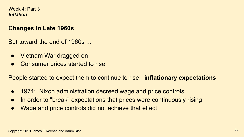#### Week 4: Part 3 *Inflation*

# **Changes in Late 1960s**

But toward the end of 1960s

- Vietnam War dragged on
- Consumer prices started to rise

People started to expect them to continue to rise: **inflationary expectations**

- 1971: Nixon administration decreed wage and price controls
- In order to "break" expectations that prices were continuously rising
- Wage and price controls did not achieve that effect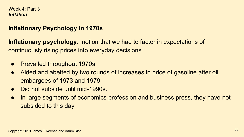#### Week 4: Part 3 *Inflation*

# **Inflationary Psychology in 1970s**

**Inflationary psychology**: notion that we had to factor in expectations of continuously rising prices into everyday decisions

- **Prevailed throughout 1970s**
- Aided and abetted by two rounds of increases in price of gasoline after oil embargoes of 1973 and 1979
- Did not subside until mid-1990s
- In large segments of economics profession and business press, they have not subsided to this day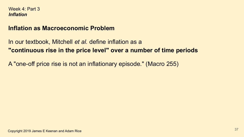### **Inflation as Macroeconomic Problem**

In our textbook, Mitchell *et al.* define inflation as a **"continuous rise in the price level" over a number of time periods**

A "one-off price rise is not an inflationary episode." (Macro 255)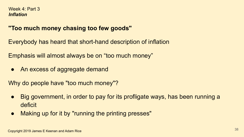### **"Too much money chasing too few goods"**

Everybody has heard that short-hand description of inflation

Emphasis will almost always be on "too much money"

• An excess of aggregate demand

Why do people have "too much money"?

- Big government, in order to pay for its profligate ways, has been running a deficit
- Making up for it by "running the printing presses"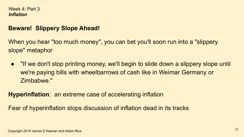### **Beware! Slippery Slope Ahead!**

When you hear "too much money", you can bet you'll soon run into a "slippery" slope" metaphor

● "If we don't stop printing money, we'll begin to slide down a slippery slope until we're paying bills with wheelbarrows of cash like in Weimar Germany or Zimbabwe."

**Hyperinflation**: an extreme case of accelerating inflation

Fear of hyperinflation stops discussion of inflation dead in its tracks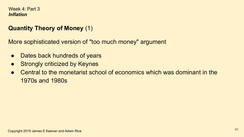# **Quantity Theory of Money** (1)

More sophisticated version of "too much money" argument

- Dates back hundreds of years
- Strongly criticized by Keynes
- Central to the monetarist school of economics which was dominant in the 1970s and 1980s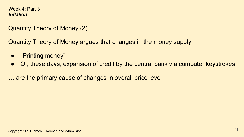Quantity Theory of Money (2)

Quantity Theory of Money argues that changes in the money supply …

- "Printing money"
- Or, these days, expansion of credit by the central bank via computer keystrokes

… are the primary cause of changes in overall price level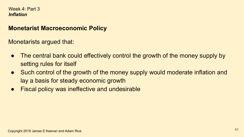### **Monetarist Macroeconomic Policy**

Monetarists argued that:

- The central bank could effectively control the growth of the money supply by setting rules for itself
- Such control of the growth of the money supply would moderate inflation and lay a basis for steady economic growth
- Fiscal policy was ineffective and undesirable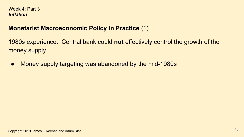## **Monetarist Macroeconomic Policy in Practice** (1)

1980s experience: Central bank could **not** effectively control the growth of the money supply

● Money supply targeting was abandoned by the mid-1980s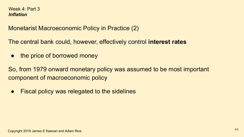Monetarist Macroeconomic Policy in Practice (2)

The central bank could, however, effectively control **interest rates**

• the price of borrowed money

So, from 1979 onward monetary policy was assumed to be most important component of macroeconomic policy

**Fiscal policy was relegated to the sidelines**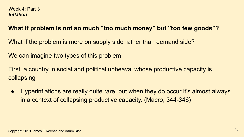# **What if problem is not so much "too much money" but "too few goods"?**

What if the problem is more on supply side rather than demand side?

We can imagine two types of this problem

First, a country in social and political upheaval whose productive capacity is collapsing

● Hyperinflations are really quite rare, but when they do occur it's almost always in a context of collapsing productive capacity. (Macro, 344-346)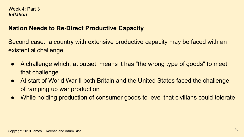### **Nation Needs to Re-Direct Productive Capacity**

Second case: a country with extensive productive capacity may be faced with an existential challenge

- A challenge which, at outset, means it has "the wrong type of goods" to meet that challenge
- At start of World War II both Britain and the United States faced the challenge of ramping up war production
- While holding production of consumer goods to level that civilians could tolerate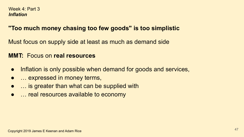## **"Too much money chasing too few goods" is too simplistic**

Must focus on supply side at least as much as demand side

### **MMT:** Focus on **real resources**

- Inflation is only possible when demand for goods and services,
- ... expressed in money terms,
- ... is greater than what can be supplied with
- … real resources available to economy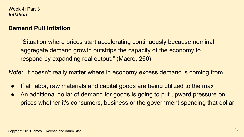### **Demand Pull Inflation**

"Situation where prices start accelerating continuously because nominal aggregate demand growth outstrips the capacity of the economy to respond by expanding real output." (Macro, 260)

*Note:* It doesn't really matter where in economy excess demand is coming from

- If all labor, raw materials and capital goods are being utilized to the max
- An additional dollar of demand for goods is going to put upward pressure on prices whether it's consumers, business or the government spending that dollar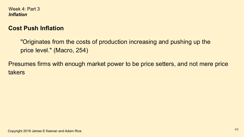# **Cost Push Inflation**

"Originates from the costs of production increasing and pushing up the price level." (Macro, 254)

Presumes firms with enough market power to be price setters, and not mere price takers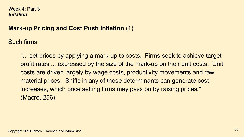# **Mark-up Pricing and Cost Push Inflation** (1)

Such firms

"... set prices by applying a mark-up to costs. Firms seek to achieve target profit rates ... expressed by the size of the mark-up on their unit costs. Unit costs are driven largely by wage costs, productivity movements and raw material prices. Shifts in any of these determinants can generate cost increases, which price setting firms may pass on by raising prices." (Macro, 256)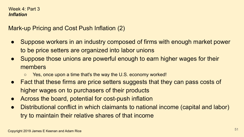Mark-up Pricing and Cost Push Inflation (2)

- Suppose workers in an industry composed of firms with enough market power to be price setters are organized into labor unions
- Suppose those unions are powerful enough to earn higher wages for their members
	- Yes, once upon a time that's the way the U.S. economy worked!
- Fact that these firms are price setters suggests that they can pass costs of higher wages on to purchasers of their products
- Across the board, potential for cost-push inflation
- Distributional conflict in which claimants to national income (capital and labor) try to maintain their relative shares of that income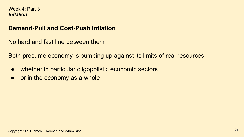### **Demand-Pull and Cost-Push Inflation**

No hard and fast line between them

Both presume economy is bumping up against its limits of real resources

- whether in particular oligopolistic economic sectors
- or in the economy as a whole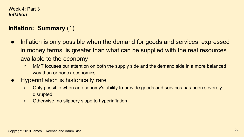# **Inflation: Summary** (1)

- Inflation is only possible when the demand for goods and services, expressed in money terms, is greater than what can be supplied with the real resources available to the economy
	- MMT focuses our attention on both the supply side and the demand side in a more balanced way than orthodox economics
- **Hyperinflation is historically rare** 
	- Only possible when an economy's ability to provide goods and services has been severely disrupted
	- Otherwise, no slippery slope to hyperinflation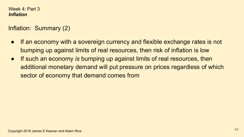# Inflation: Summary (2)

- If an economy with a sovereign currency and flexible exchange rates is not bumping up against limits of real resources, then risk of inflation is low
- If such an economy *is* bumping up against limits of real resources, then additional monetary demand will put pressure on prices regardless of which sector of economy that demand comes from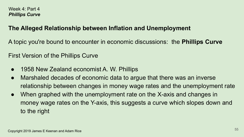# **The Alleged Relationship between Inflation and Unemployment**

A topic you're bound to encounter in economic discussions: the **Phillips Curve**

First Version of the Phillips Curve

- 1958 New Zealand economist A. W. Phillips
- Marshaled decades of economic data to argue that there was an inverse relationship between changes in money wage rates and the unemployment rate
- When graphed with the unemployment rate on the X-axis and changes in money wage rates on the Y-axis, this suggests a curve which slopes down and to the right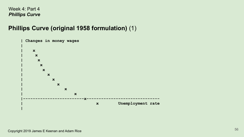## **Phillips Curve (original 1958 formulation)** (1)

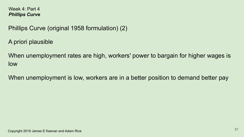Phillips Curve (original 1958 formulation) (2)

A priori plausible

When unemployment rates are high, workers' power to bargain for higher wages is low

When unemployment is low, workers are in a better position to demand better pay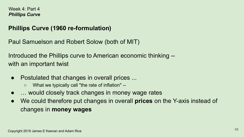## **Phillips Curve (1960 re-formulation)**

Paul Samuelson and Robert Solow (both of MIT)

Introduced the Phillips curve to American economic thinking - with an important twist

- Postulated that changes in overall prices ...
	- What we typically call "the rate of inflation" --
- ... would closely track changes in money wage rates
- We could therefore put changes in overall **prices** on the Y-axis instead of changes in **money wages**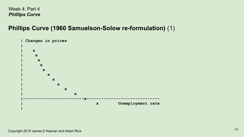## **Phillips Curve (1960 Samuelson-Solow re-formulation)** (1)

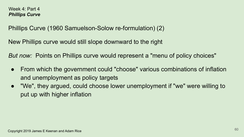Phillips Curve (1960 Samuelson-Solow re-formulation) (2)

New Phillips curve would still slope downward to the right

*But now:* Points on Phillips curve would represent a "menu of policy choices"

- From which the government could "choose" various combinations of inflation and unemployment as policy targets
- "We", they argued, could choose lower unemployment if "we" were willing to put up with higher inflation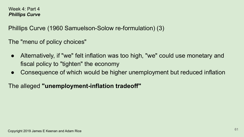Phillips Curve (1960 Samuelson-Solow re-formulation) (3)

The "menu of policy choices"

- Alternatively, if "we" felt inflation was too high, "we" could use monetary and fiscal policy to "tighten" the economy
- Consequence of which would be higher unemployment but reduced inflation

The alleged **"unemployment-inflation tradeoff"**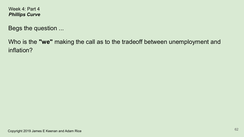Begs the question ...

Who is the **"we"** making the call as to the tradeoff between unemployment and inflation?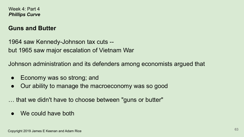### **Guns and Butter**

1964 saw Kennedy-Johnson tax cuts - but 1965 saw major escalation of Vietnam War

Johnson administration and its defenders among economists argued that

- Economy was so strong; and
- Our ability to manage the macroeconomy was so good

… that we didn't have to choose between "guns or butter"

We could have both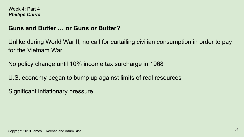### **Guns and Butter … or Guns** *or* **Butter?**

Unlike during World War II, no call for curtailing civilian consumption in order to pay for the Vietnam War

No policy change until 10% income tax surcharge in 1968

U.S. economy began to bump up against limits of real resources

Significant inflationary pressure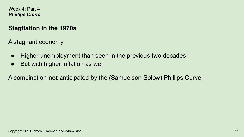## **Stagflation in the 1970s**

A stagnant economy

- Higher unemployment than seen in the previous two decades
- But with higher inflation as well

A combination **not** anticipated by the (Samuelson-Solow) Phillips Curve!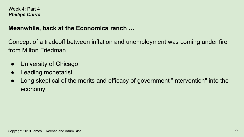## **Meanwhile, back at the Economics ranch …**

Concept of a tradeoff between inflation and unemployment was coming under fire from Milton Friedman

- University of Chicago
- **Leading monetarist**
- Long skeptical of the merits and efficacy of government "intervention" into the economy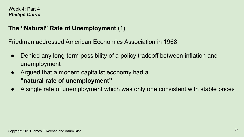# **The "Natural" Rate of Unemployment** (1)

Friedman addressed American Economics Association in 1968

- Denied any long-term possibility of a policy tradeoff between inflation and unemployment
- Argued that a modern capitalist economy had a **"natural rate of unemployment"**
- A single rate of unemployment which was only one consistent with stable prices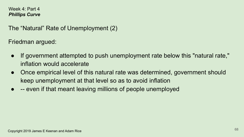The "Natural" Rate of Unemployment (2)

Friedman argued:

- If government attempted to push unemployment rate below this "natural rate," inflation would accelerate
- Once empirical level of this natural rate was determined, government should keep unemployment at that level so as to avoid inflation
- -- even if that meant leaving millions of people unemployed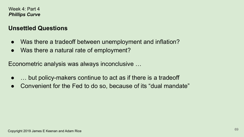### **Unsettled Questions**

- Was there a tradeoff between unemployment and inflation?
- Was there a natural rate of employment?

Econometric analysis was always inconclusive …

- ... but policy-makers continue to act as if there is a tradeoff
- Convenient for the Fed to do so, because of its "dual mandate"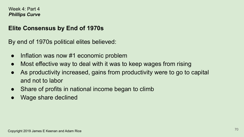## **Elite Consensus by End of 1970s**

By end of 1970s political elites believed:

- Inflation was now #1 economic problem
- Most effective way to deal with it was to keep wages from rising
- As productivity increased, gains from productivity were to go to capital and not to labor
- Share of profits in national income began to climb
- Wage share declined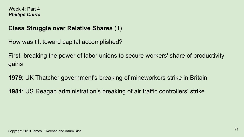## **Class Struggle over Relative Shares** (1)

How was tilt toward capital accomplished?

First, breaking the power of labor unions to secure workers' share of productivity gains

**1979**: UK Thatcher government's breaking of mineworkers strike in Britain

**1981**: US Reagan administration's breaking of air traffic controllers' strike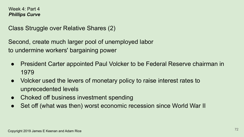Class Struggle over Relative Shares (2)

Second, create much larger pool of unemployed labor to undermine workers' bargaining power

- **President Carter appointed Paul Volcker to be Federal Reserve chairman in** 1979
- Volcker used the levers of monetary policy to raise interest rates to unprecedented levels
- Choked off business investment spending
- Set off (what was then) worst economic recession since World War II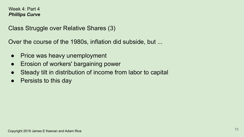#### Week 4: Part 4 *Phillips Curve*

Class Struggle over Relative Shares (3)

Over the course of the 1980s, inflation did subside, but ...

- Price was heavy unemployment
- Erosion of workers' bargaining power
- Steady tilt in distribution of income from labor to capital
- Persists to this day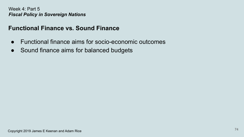## **Functional Finance vs. Sound Finance**

- Functional finance aims for socio-economic outcomes
- Sound finance aims for balanced budgets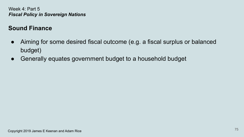# **Sound Finance**

- Aiming for some desired fiscal outcome (e.g. a fiscal surplus or balanced budget)
- Generally equates government budget to a household budget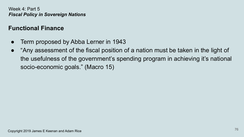## **Functional Finance**

- Term proposed by Abba Lerner in 1943
- "Any assessment of the fiscal position of a nation must be taken in the light of the usefulness of the government's spending program in achieving it's national socio-economic goals." (Macro 15)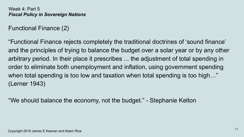Functional Finance (2)

"Functional Finance rejects completely the traditional doctrines of 'sound finance' and the principles of trying to balance the budget over a solar year or by any other arbitrary period. In their place it prescribes ... the adjustment of total spending in order to eliminate both unemployment and inflation, using government spending when total spending is too low and taxation when total spending is too high…" (Lerner 1943)

"We should balance the economy, not the budget." - Stephanie Kelton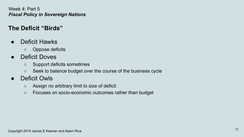# **The Deficit "Birds"**

- Deficit Hawks
	- Oppose deficits
- Deficit Doves
	- Support deficits sometimes
	- Seek to balance budget over the course of the business cycle
- Deficit Owls
	- Assign no arbitrary limit to size of deficit
	- Focuses on socio-economic outcomes rather than budget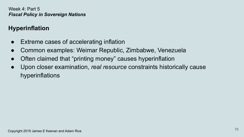# **Hyperinflation**

- Extreme cases of accelerating inflation
- Common examples: Weimar Republic, Zimbabwe, Venezuela
- Often claimed that "printing money" causes hyperinflation
- Upon closer examination, *real resource* constraints historically cause hyperinflations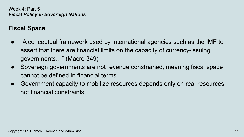# **Fiscal Space**

- "A conceptual framework used by international agencies such as the IMF to assert that there are financial limits on the capacity of currency-issuing governments…" (Macro 349)
- Sovereign governments are not revenue constrained, meaning fiscal space cannot be defined in financial terms
- Government capacity to mobilize resources depends only on real resources, not financial constraints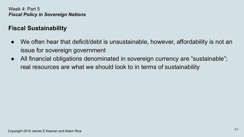## **Fiscal Sustainability**

- We often hear that deficit/debt is unsustainable, however, affordability is not an issue for sovereign government
- All financial obligations denominated in sovereign currency are "sustainable"; real resources are what we should look to in terms of sustainability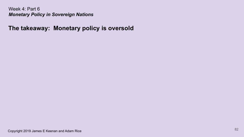**The takeaway: Monetary policy is oversold**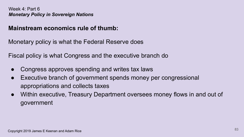### **Mainstream economics rule of thumb:**

Monetary policy is what the Federal Reserve does

Fiscal policy is what Congress and the executive branch do

- Congress approves spending and writes tax laws
- Executive branch of government spends money per congressional appropriations and collects taxes
- Within executive, Treasury Department oversees money flows in and out of government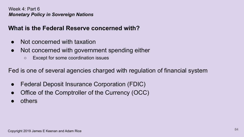# **What is the Federal Reserve concerned with?**

- Not concerned with taxation
- Not concerned with government spending either
	- Except for some coordination issues

Fed is one of several agencies charged with regulation of financial system

- Federal Deposit Insurance Corporation (FDIC)
- Office of the Comptroller of the Currency (OCC)
- others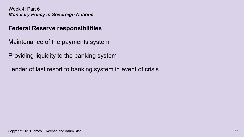## **Federal Reserve responsibilities**

Maintenance of the payments system

Providing liquidity to the banking system

Lender of last resort to banking system in event of crisis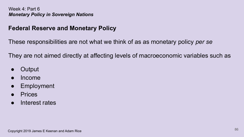## **Federal Reserve and Monetary Policy**

These responsibilities are not what we think of as as monetary policy *per se*

They are not aimed directly at affecting levels of macroeconomic variables such as

- **Output**
- Income
- **Employment**
- **Prices**
- Interest rates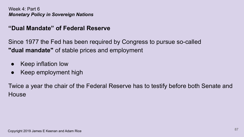### **"Dual Mandate" of Federal Reserve**

Since 1977 the Fed has been required by Congress to pursue so-called **"dual mandate"** of stable prices and employment

- **Keep inflation low**
- Keep employment high

Twice a year the chair of the Federal Reserve has to testify before both Senate and **House**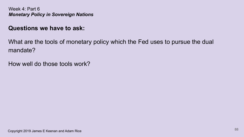### **Questions we have to ask:**

What are the tools of monetary policy which the Fed uses to pursue the dual mandate?

How well do those tools work?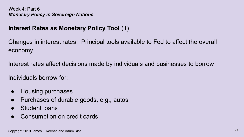# **Interest Rates as Monetary Policy Tool** (1)

Changes in interest rates: Principal tools available to Fed to affect the overall economy

Interest rates affect decisions made by individuals and businesses to borrow

Individuals borrow for:

- Housing purchases
- Purchases of durable goods, e.g., autos
- Student loans
- Consumption on credit cards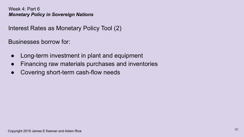Interest Rates as Monetary Policy Tool (2)

Businesses borrow for:

- Long-term investment in plant and equipment
- Financing raw materials purchases and inventories
- Covering short-term cash-flow needs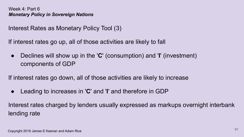Interest Rates as Monetary Policy Tool (3)

If interest rates go up, all of those activities are likely to fall

● Declines will show up in the '**C**' (consumption) and '**I**' (investment) components of GDP

If interest rates go down, all of those activities are likely to increase

● Leading to increases in '**C**' and '**I**' and therefore in GDP

Interest rates charged by lenders usually expressed as markups overnight interbank lending rate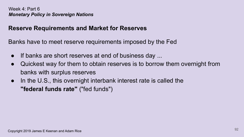### **Reserve Requirements and Market for Reserves**

Banks have to meet reserve requirements imposed by the Fed

- If banks are short reserves at end of business day ...
- Quickest way for them to obtain reserves is to borrow them overnight from banks with surplus reserves
- In the U.S., this overnight interbank interest rate is called the **"federal funds rate"** ("fed funds")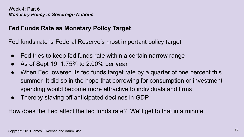## **Fed Funds Rate as Monetary Policy Target**

Fed funds rate is Federal Reserve's most important policy target

- Fed tries to keep fed funds rate within a certain narrow range
- As of Sept 19, 1.75% to 2.00% per year
- When Fed lowered its fed funds target rate by a quarter of one percent this summer, It did so in the hope that borrowing for consumption or investment spending would become more attractive to individuals and firms
- Thereby staving off anticipated declines in GDP

How does the Fed affect the fed funds rate? We'll get to that in a minute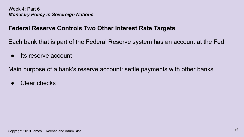### **Federal Reserve Controls Two Other Interest Rate Targets**

Each bank that is part of the Federal Reserve system has an account at the Fed

● Its reserve account

Main purpose of a bank's reserve account: settle payments with other banks

● Clear checks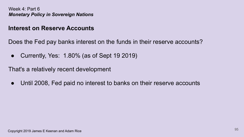### **Interest on Reserve Accounts**

Does the Fed pay banks interest on the funds in their reserve accounts?

● Currently, Yes: 1.80% (as of Sept 19 2019)

That's a relatively recent development

• Until 2008, Fed paid no interest to banks on their reserve accounts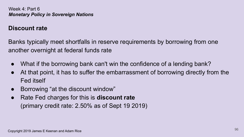### **Discount rate**

Banks typically meet shortfalls in reserve requirements by borrowing from one another overnight at federal funds rate

- What if the borrowing bank can't win the confidence of a lending bank?
- At that point, it has to suffer the embarrassment of borrowing directly from the Fed itself
- Borrowing "at the discount window"
- Rate Fed charges for this is **discount rate** (primary credit rate: 2.50% as of Sept 19 2019)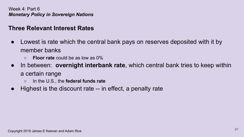### **Three Relevant Interest Rates**

- Lowest is rate which the central bank pays on reserves deposited with it by member banks
	- **Floor rate** could be as low as 0%
- In between: **overnight interbank rate**, which central bank tries to keep within a certain range
	- In the U.S., the **federal funds rate**
- Highest is the discount rate -- in effect, a penalty rate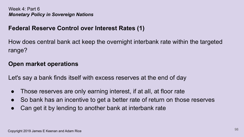### **Federal Reserve Control over Interest Rates (1)**

How does central bank act keep the overnight interbank rate within the targeted range?

### **Open market operations**

Let's say a bank finds itself with excess reserves at the end of day

- Those reserves are only earning interest, if at all, at floor rate
- So bank has an incentive to get a better rate of return on those reserves
- Can get it by lending to another bank at interbank rate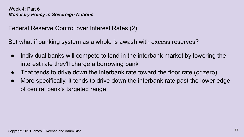Federal Reserve Control over Interest Rates (2)

But what if banking system as a whole is awash with excess reserves?

- Individual banks will compete to lend in the interbank market by lowering the interest rate they'll charge a borrowing bank
- That tends to drive down the interbank rate toward the floor rate (or zero)
- More specifically, it tends to drive down the interbank rate past the lower edge of central bank's targeted range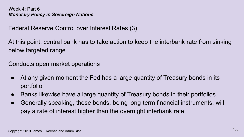Federal Reserve Control over Interest Rates (3)

At this point. central bank has to take action to keep the interbank rate from sinking below targeted range

Conducts open market operations

- At any given moment the Fed has a large quantity of Treasury bonds in its portfolio
- Banks likewise have a large quantity of Treasury bonds in their portfolios
- Generally speaking, these bonds, being long-term financial instruments, will pay a rate of interest higher than the overnight interbank rate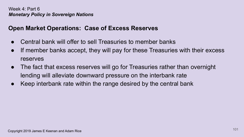## **Open Market Operations: Case of Excess Reserves**

- Central bank will offer to sell Treasuries to member banks
- If member banks accept, they will pay for these Treasuries with their excess reserves
- The fact that excess reserves will go for Treasuries rather than overnight lending will alleviate downward pressure on the interbank rate
- Keep interbank rate within the range desired by the central bank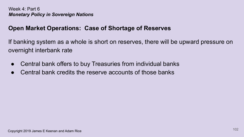## **Open Market Operations: Case of Shortage of Reserves**

If banking system as a whole is short on reserves, there will be upward pressure on overnight interbank rate

- Central bank offers to buy Treasuries from individual banks
- Central bank credits the reserve accounts of those banks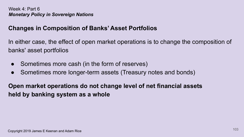# **Changes in Composition of Banks' Asset Portfolios**

In either case, the effect of open market operations is to change the composition of banks' asset portfolios

- Sometimes more cash (in the form of reserves)
- Sometimes more longer-term assets (Treasury notes and bonds)

**Open market operations do not change level of net financial assets held by banking system as a whole**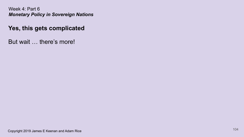### **Yes, this gets complicated**

But wait … there's more!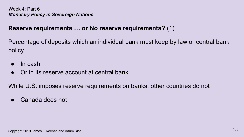## **Reserve requirements … or No reserve requirements?** (1)

Percentage of deposits which an individual bank must keep by law or central bank policy

- In cash
- Or in its reserve account at central bank

While U.S. imposes reserve requirements on banks, other countries do not

Canada does not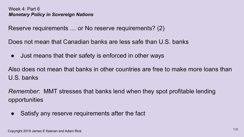Reserve requirements … or No reserve requirements? (2)

Does not mean that Canadian banks are less safe than U.S. banks

• Just means that their safety is enforced in other ways

Also does not mean that banks in other countries are free to make more loans than U.S. banks

*Remember*: MMT stresses that banks lend when they spot profitable lending opportunities

• Satisfy any reserve requirements after the fact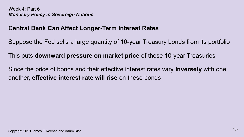### **Central Bank Can Affect Longer-Term Interest Rates**

Suppose the Fed sells a large quantity of 10-year Treasury bonds from its portfolio

This puts **downward pressure on market price** of these 10-year Treasuries

Since the price of bonds and their effective interest rates vary **inversely** with one another, **effective interest rate will rise** on these bonds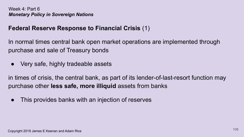### **Federal Reserve Response to Financial Crisis** (1)

In normal times central bank open market operations are implemented through purchase and sale of Treasury bonds

Very safe, highly tradeable assets

in times of crisis, the central bank, as part of its lender-of-last-resort function may purchase other **less safe, more illiquid** assets from banks

This provides banks with an injection of reserves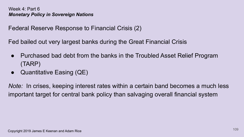Federal Reserve Response to Financial Crisis (2)

Fed bailed out very largest banks during the Great Financial Crisis

- Purchased bad debt from the banks in the Troubled Asset Relief Program (TARP)
- $\bullet$  Quantitative Easing (QE)

*Note:* In crises, keeping interest rates within a certain band becomes a much less important target for central bank policy than salvaging overall financial system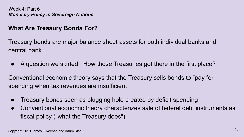## **What Are Treasury Bonds For?**

Treasury bonds are major balance sheet assets for both individual banks and central bank

A question we skirted: How those Treasuries got there in the first place?

Conventional economic theory says that the Treasury sells bonds to "pay for" spending when tax revenues are insufficient

- Treasury bonds seen as plugging hole created by deficit spending
- Conventional economic theory characterizes sale of federal debt instruments as fiscal policy ("what the Treasury does")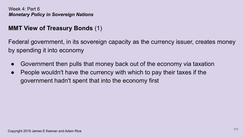## **MMT View of Treasury Bonds** (1)

Federal government, in its sovereign capacity as the currency issuer, creates money by spending it into economy

- Government then pulls that money back out of the economy via taxation
- People wouldn't have the currency with which to pay their taxes if the government hadn't spent that into the economy first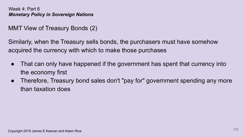## MMT View of Treasury Bonds (2)

Similarly, when the Treasury sells bonds, the purchasers must have somehow acquired the currency with which to make those purchases

- That can only have happened if the government has spent that currency into the economy first
- Therefore, Treasury bond sales don't "pay for" government spending any more than taxation does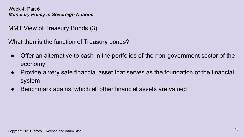MMT View of Treasury Bonds (3)

What then is the function of Treasury bonds?

- Offer an alternative to cash in the portfolios of the non-government sector of the economy
- Provide a very safe financial asset that serves as the foundation of the financial system
- Benchmark against which all other financial assets are valued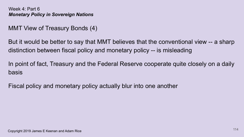## MMT View of Treasury Bonds (4)

But it would be better to say that MMT believes that the conventional view -- a sharp distinction between fiscal policy and monetary policy -- is misleading

In point of fact, Treasury and the Federal Reserve cooperate quite closely on a daily basis

Fiscal policy and monetary policy actually blur into one another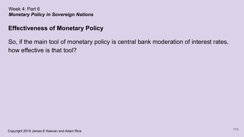## **Effectiveness of Monetary Policy**

So, if the main tool of monetary policy is central bank moderation of interest rates, how effective is that tool?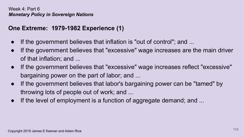## **One Extreme: 1979-1982 Experience (1)**

- If the government believes that inflation is "out of control"; and ...
- If the government believes that "excessive" wage increases are the main driver of that inflation; and ...
- If the government believes that "excessive" wage increases reflect "excessive" bargaining power on the part of labor; and ...
- If the government believes that labor's bargaining power can be "tamed" by throwing lots of people out of work; and ...
- If the level of employment is a function of aggregate demand; and  $\ldots$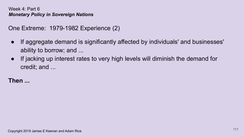```
One Extreme: 1979-1982 Experience (2)
```
- If aggregate demand is significantly affected by individuals' and businesses' ability to borrow; and ...
- If jacking up interest rates to very high levels will diminish the demand for credit; and ...

# **Then ...**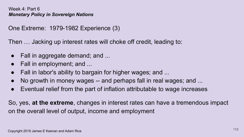```
One Extreme: 1979-1982 Experience (3)
```
Then … Jacking up interest rates will choke off credit, leading to:

- $\bullet$  Fall in aggregate demand; and ...
- Fall in employment; and ...
- Fall in labor's ability to bargain for higher wages; and ...
- No growth in money wages -- and perhaps fall in real wages; and ...
- Eventual relief from the part of inflation attributable to wage increases

So, yes, **at the extreme**, changes in interest rates can have a tremendous impact on the overall level of output, income and employment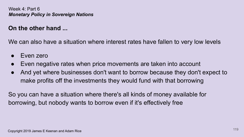### **On the other hand ...**

We can also have a situation where interest rates have fallen to very low levels

- Even zero
- Even negative rates when price movements are taken into account
- And yet where businesses don't want to borrow because they don't expect to make profits off the investments they would fund with that borrowing

So you can have a situation where there's all kinds of money available for borrowing, but nobody wants to borrow even if it's effectively free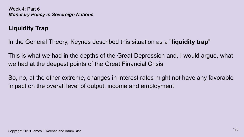# **Liquidity Trap**

In the General Theory, Keynes described this situation as a "**liquidity trap**"

This is what we had in the depths of the Great Depression and, I would argue, what we had at the deepest points of the Great Financial Crisis

So, no, at the other extreme, changes in interest rates might not have any favorable impact on the overall level of output, income and employment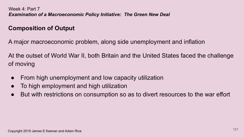# **Composition of Output**

A major macroeconomic problem, along side unemployment and inflation

At the outset of World War II, both Britain and the United States faced the challenge of moving

- From high unemployment and low capacity utilization
- To high employment and high utilization
- But with restrictions on consumption so as to divert resources to the war effort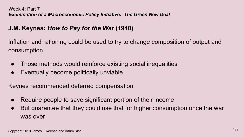# **J.M. Keynes:** *How to Pay for the War* **(1940)**

Inflation and rationing could be used to try to change composition of output and consumption

- Those methods would reinforce existing social inequalities
- Eventually become politically unviable

Keynes recommended deferred compensation

- Require people to save significant portion of their income
- But guarantee that they could use that for higher consumption once the war was over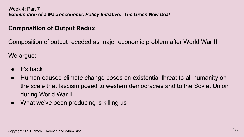## **Composition of Output Redux**

Composition of output receded as major economic problem after World War II

We argue:

- It's back
- Human-caused climate change poses an existential threat to all humanity on the scale that fascism posed to western democracies and to the Soviet Union during World War II
- What we've been producing is killing us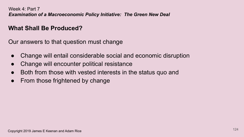### **What Shall Be Produced?**

Our answers to that question must change

- Change will entail considerable social and economic disruption
- Change will encounter political resistance
- Both from those with vested interests in the status quo and
- From those frightened by change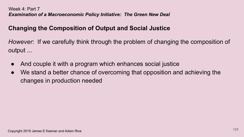# **Changing the Composition of Output and Social Justice**

*However*: If we carefully think through the problem of changing the composition of output ...

- And couple it with a program which enhances social justice
- We stand a better chance of overcoming that opposition and achieving the changes in production needed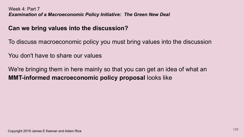## **Can we bring values into the discussion?**

To discuss macroeconomic policy you must bring values into the discussion

You don't have to share our values

We're bringing them in here mainly so that you can get an idea of what an **MMT-informed macroeconomic policy proposal** looks like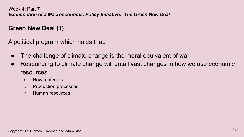## **Green New Deal (1)**

A political program which holds that:

- The challenge of climate change is the moral equivalent of war
- Responding to climate change will entail vast changes in how we use economic resources
	- Raw materials
	- Production processes
	- Human resources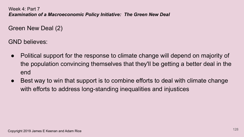Green New Deal (2)

GND believes:

- Political support for the response to climate change will depend on majority of the population convincing themselves that they'll be getting a better deal in the end
- Best way to win that support is to combine efforts to deal with climate change with efforts to address long-standing inequalities and injustices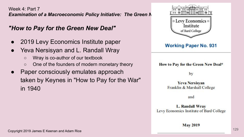## *"How to Pay for the Green New Deal"*

- 2019 Levy Economics Institute paper
- Yeva Nersisyan and L. Randall Wray
	- Wray is co-author of our textbook
	- One of the founders of modern monetary theory
- Paper consciously emulates approach taken by Keynes in "How to Pay for the War" in 1940

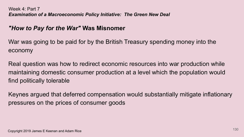### *"How to Pay for the War"* **Was Misnomer**

War was going to be paid for by the British Treasury spending money into the economy

Real question was how to redirect economic resources into war production while maintaining domestic consumer production at a level which the population would find politically tolerable

Keynes argued that deferred compensation would substantially mitigate inflationary pressures on the prices of consumer goods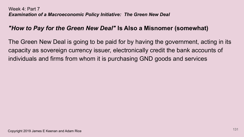## *"How to Pay for the Green New Deal"* **Is Also a Misnomer (somewhat)**

The Green New Deal is going to be paid for by having the government, acting in its capacity as sovereign currency issuer, electronically credit the bank accounts of individuals and firms from whom it is purchasing GND goods and services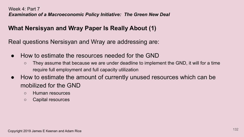## **What Nersisyan and Wray Paper Is Really About (1)**

Real questions Nersisyan and Wray are addressing are:

- How to estimate the resources needed for the GND
	- They assume that because we are under deadline to implement the GND, it will for a time require full employment and full capacity utilization
- How to estimate the amount of currently unused resources which can be mobilized for the GND
	- Human resources
	- Capital resources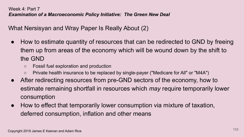What Nersisyan and Wray Paper Is Really About (2)

- How to estimate quantity of resources that can be redirected to GND by freeing them up from areas of the economy which will be wound down by the shift to the GND
	- Fossil fuel exploration and production
	- Private health insurance to be replaced by single-payer ("Medicare for All" or "M4A")
- After redirecting resources from pre-GND sectors of the economy, how to estimate remaining shortfall in resources which *may* require temporarily lower consumption
- How to effect that temporarily lower consumption via mixture of taxation, deferred consumption, inflation and other means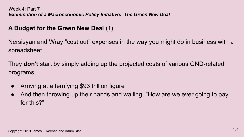## **A Budget for the Green New Deal** (1)

Nersisyan and Wray "cost out" expenses in the way you might do in business with a spreadsheet

They **don't** start by simply adding up the projected costs of various GND-related programs

- Arriving at a terrifying \$93 trillion figure
- And then throwing up their hands and wailing, "How are we ever going to pay for this?"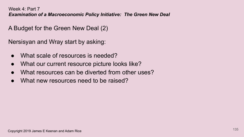A Budget for the Green New Deal (2)

Nersisyan and Wray start by asking:

- What scale of resources is needed?
- What our current resource picture looks like?
- What resources can be diverted from other uses?
- What new resources need to be raised?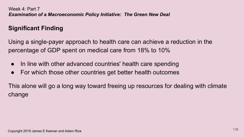# **Significant Finding**

Using a single-payer approach to health care can achieve a reduction in the percentage of GDP spent on medical care from 18% to 10%

- In line with other advanced countries' health care spending
- For which those other countries get better health outcomes

This alone will go a long way toward freeing up resources for dealing with climate change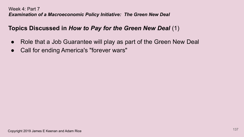## **Topics Discussed in** *How to Pay for the Green New Deal* (1)

- Role that a Job Guarantee will play as part of the Green New Deal
- Call for ending America's "forever wars"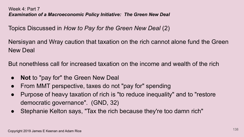Topics Discussed in *How to Pay for the Green New Deal* (2)

Nersisyan and Wray caution that taxation on the rich cannot alone fund the Green New Deal

But nonethless call for increased taxation on the income and wealth of the rich

- **Not** to "pay for" the Green New Deal
- From MMT perspective, taxes do not "pay for" spending
- Purpose of heavy taxation of rich is "to reduce inequality" and to "restore democratic governance". (GND, 32)
- Stephanie Kelton says, "Tax the rich because they're too damn rich"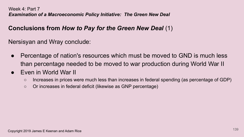## **Conclusions from** *How to Pay for the Green New Deal* (1)

Nersisyan and Wray conclude:

- Percentage of nation's resources which must be moved to GND is much less than percentage needed to be moved to war production during World War II
- **Even in World War II** 
	- Increases in prices were much less than increases in federal spending (as percentage of GDP)
	- Or increases in federal deficit (likewise as GNP percentage)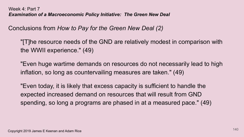Conclusions from *How to Pay for the Green New Deal (2)*

"[T]he resource needs of the GND are relatively modest in comparison with the WWII experience." (49)

"Even huge wartime demands on resources do not necessarily lead to high inflation, so long as countervailing measures are taken." (49)

"Even today, it is likely that excess capacity is sufficient to handle the expected increased demand on resources that will result from GND spending, so long a programs are phased in at a measured pace." (49)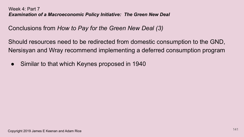Conclusions from *How to Pay for the Green New Deal (3)*

Should resources need to be redirected from domestic consumption to the GND, Nersisyan and Wray recommend implementing a deferred consumption program

• Similar to that which Keynes proposed in 1940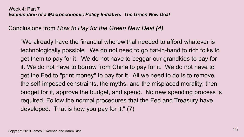Conclusions from *How to Pay for the Green New Deal (4)*

"We already have the financial wherewithal needed to afford whatever is technologically possible. We do not need to go hat-in-hand to rich folks to get them to pay for it. We do not have to beggar our grandkids to pay for it. We do not have to borrow from China to pay for it. We do not have to get the Fed to "print money" to pay for it. All we need to do is to remove the self-imposed constraints, the myths, and the misplaced morality; then budget for it, approve the budget, and spend. No new spending process is required. Follow the normal procedures that the Fed and Treasury have developed. That is how you pay for it." (7)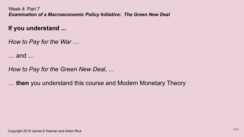**If you understand ...**

*How to Pay for the War* …

… and …

*How to Pay for the Green New Deal*, ...

… **then** you understand this course and Modern Monetary Theory